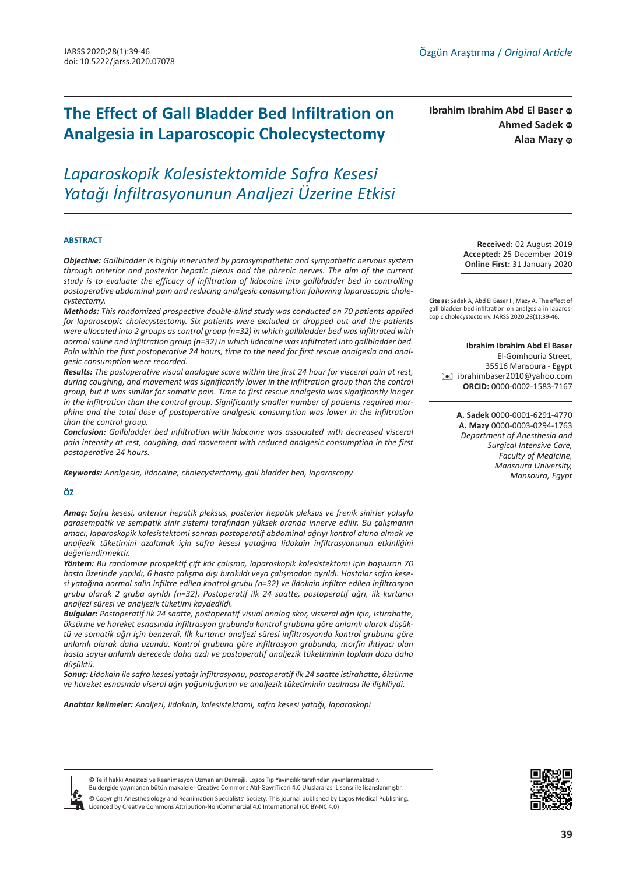# **The Effect of Gall Bladder Bed Infiltration on Analgesia in Laparoscopic Cholecystectomy**

*Laparoskopik Kolesistektomide Safra Kesesi Yatağı İnfiltrasyonunun Analjezi Üzerine Etkisi*

#### **ABSTRACT**

*Objective: Gallbladder is highly innervated by parasympathetic and sympathetic nervous system through anterior and posterior hepatic plexus and the phrenic nerves. The aim of the current study is to evaluate the efficacy of infiltration of lidocaine into gallbladder bed in controlling postoperative abdominal pain and reducing analgesic consumption following laparoscopic cholecystectomy.*

*Methods: This randomized prospective double-blind study was conducted on 70 patients applied for laparoscopic cholecystectomy. Six patients were excluded or dropped out and the patients were allocated into 2 groups as control group (n=32) in which gallbladder bed was infiltrated with normal saline and infiltration group (n=32) in which lidocaine was infiltrated into gallbladder bed. Pain within the first postoperative 24 hours, time to the need for first rescue analgesia and analgesic consumption were recorded.*

*Results: The postoperative visual analogue score within the first 24 hour for visceral pain at rest, during coughing, and movement was significantly lower in the infiltration group than the control group, but it was similar for somatic pain. Time to first rescue analgesia was significantly longer in the infiltration than the control group. Significantly smaller number of patients required morphine and the total dose of postoperative analgesic consumption was lower in the infiltration than the control group.* 

*Conclusion: Gallbladder bed infiltration with lidocaine was associated with decreased visceral pain intensity at rest, coughing, and movement with reduced analgesic consumption in the first postoperative 24 hours.*

*Keywords: Analgesia, lidocaine, cholecystectomy, gall bladder bed, laparoscopy*

#### **ÖZ**

*Amaç: Safra kesesi, anterior hepatik pleksus, posterior hepatik pleksus ve frenik sinirler yoluyla parasempatik ve sempatik sinir sistemi tarafından yüksek oranda innerve edilir. Bu çalışmanın amacı, laparoskopik kolesistektomi sonrası postoperatif abdominal ağrıyı kontrol altına almak ve analjezik tüketimini azaltmak için safra kesesi yatağına lidokain infiltrasyonunun etkinliğini değerlendirmektir.*

*Yöntem: Bu randomize prospektif çift kör çalışma, laparoskopik kolesistektomi için başvuran 70 hasta üzerinde yapıldı, 6 hasta çalışma dışı bırakıldı veya çalışmadan ayrıldı. Hastalar safra kesesi yatağına normal salin infiltre edilen kontrol grubu (n=32) ve lidokain infiltre edilen infiltrasyon grubu olarak 2 gruba ayrıldı (n=32). Postoperatif ilk 24 saatte, postoperatif ağrı, ilk kurtarıcı analjezi süresi ve analjezik tüketimi kaydedildi.*

*Bulgular: Postoperatif ilk 24 saatte, postoperatif visual analog skor, visseral ağrı için, istirahatte, öksürme ve hareket esnasında infiltrasyon grubunda kontrol grubuna göre anlamlı olarak düşüktü ve somatik ağrı için benzerdi. İlk kurtarıcı analjezi süresi infiltrasyonda kontrol grubuna göre anlamlı olarak daha uzundu. Kontrol grubuna göre infiltrasyon grubunda, morfin ihtiyacı olan hasta sayısı anlamlı derecede daha azdı ve postoperatif analjezik tüketiminin toplam dozu daha düşüktü.*

*Sonuç: Lidokain ile safra kesesi yatağı infiltrasyonu, postoperatif ilk 24 saatte istirahatte, öksürme ve hareket esnasında viseral ağrı yoğunluğunun ve analjezik tüketiminin azalması ile ilişkiliydi.*

*Anahtar kelimeler: Analjezi, lidokain, kolesistektomi, safra kesesi yatağı, laparoskopi*

**Ahmed Sadek** © **Ibrahim Ibrahim Abd El Baser** Alaa Mazy **c** 

> **Received:** 02 August 2019 **Accepted:** 25 December 2019 **Online First:** 31 January 2020

**Cite as:** Sadek A, Abd El Baser II, Mazy A. The effect of gall bladder bed infiltration on analgesia in laparoscopic cholecystectomy. JARSS 2020;28(1):39-46.

**Ibrahim Ibrahim Abd El Baser**  El-Gomhouria Street, 35516 Mansoura - Egypt [✉](mailto:ibrahimbaser2010@yahoo.com) ibrahimbaser2010@yahoo.com **ORCID:** 0000-0002-1583-7167

> **A. Sadek** 0000-0001-6291-4770 **A. Mazy** 0000-0003-0294-1763 *Department of Anesthesia and Surgical Intensive Care, Faculty of Medicine, Mansoura University, Mansoura, Egypt*





© Telif hakkı Anestezi ve Reanimasyon Uzmanları Derneği. Logos Tıp Yayıncılık tarafından yayınlanmaktadır. Bu dergide yayınlanan bütün makaleler Creative Commons Atıf-GayriTicari 4.0 Uluslararası Lisansı ile lisanslanmıştır.

© Copyright Anesthesiology and Reanimation Specialists' Society. This journal published by Logos Medical Publishing. Licenced by Creative Commons Attribution-NonCommercial 4.0 International (CC BY-NC 4.0)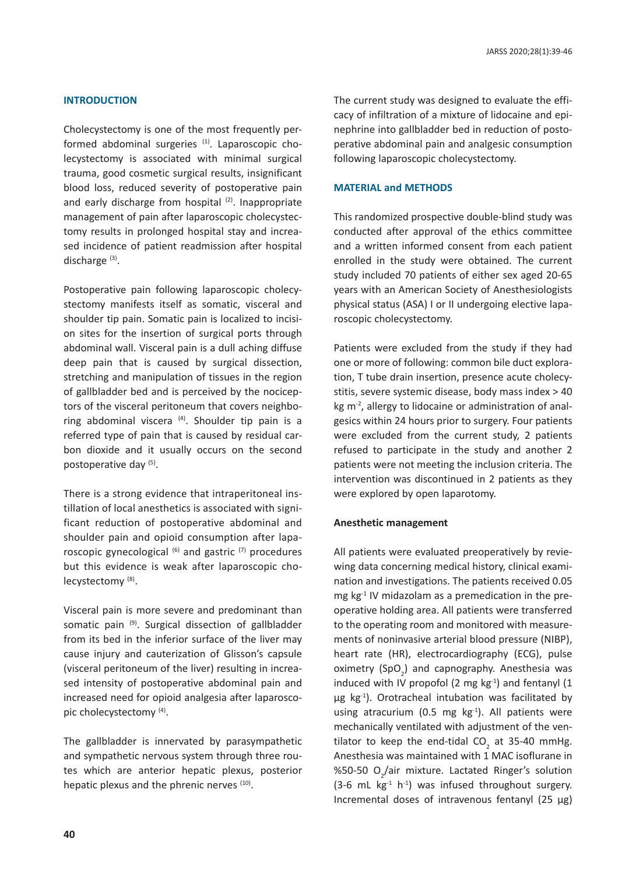### **INTRODUCTION**

Cholecystectomy is one of the most frequently performed abdominal surgeries  $(1)$ . Laparoscopic cholecystectomy is associated with minimal surgical trauma, good cosmetic surgical results, insignificant blood loss, reduced severity of postoperative pain and early discharge from hospital (2). Inappropriate management of pain after laparoscopic cholecystectomy results in prolonged hospital stay and increased incidence of patient readmission after hospital discharge (3).

Postoperative pain following laparoscopic cholecystectomy manifests itself as somatic, visceral and shoulder tip pain. Somatic pain is localized to incision sites for the insertion of surgical ports through abdominal wall. Visceral pain is a dull aching diffuse deep pain that is caused by surgical dissection, stretching and manipulation of tissues in the region of gallbladder bed and is perceived by the nociceptors of the visceral peritoneum that covers neighboring abdominal viscera  $(4)$ . Shoulder tip pain is a referred type of pain that is caused by residual carbon dioxide and it usually occurs on the second postoperative day (5).

There is a strong evidence that intraperitoneal instillation of local anesthetics is associated with significant reduction of postoperative abdominal and shoulder pain and opioid consumption after laparoscopic gynecological  $(6)$  and gastric  $(7)$  procedures but this evidence is weak after laparoscopic cholecystectomy<sup>(8)</sup>.

Visceral pain is more severe and predominant than somatic pain (9). Surgical dissection of gallbladder from its bed in the inferior surface of the liver may cause injury and cauterization of Glisson's capsule (visceral peritoneum of the liver) resulting in increased intensity of postoperative abdominal pain and increased need for opioid analgesia after laparoscopic cholecystectomy (4).

The gallbladder is innervated by parasympathetic and sympathetic nervous system through three routes which are anterior hepatic plexus, posterior hepatic plexus and the phrenic nerves (10).

The current study was designed to evaluate the efficacy of infiltration of a mixture of lidocaine and epinephrine into gallbladder bed in reduction of postoperative abdominal pain and analgesic consumption following laparoscopic cholecystectomy.

### **MATERIAL and METHODS**

This randomized prospective double-blind study was conducted after approval of the ethics committee and a written informed consent from each patient enrolled in the study were obtained. The current study included 70 patients of either sex aged 20-65 years with an American Society of Anesthesiologists physical status (ASA) I or II undergoing elective laparoscopic cholecystectomy.

Patients were excluded from the study if they had one or more of following: common bile duct exploration, T tube drain insertion, presence acute cholecystitis, severe systemic disease, body mass index > 40 kg m<sup>-2</sup>, allergy to lidocaine or administration of analgesics within 24 hours prior to surgery. Four patients were excluded from the current study, 2 patients refused to participate in the study and another 2 patients were not meeting the inclusion criteria. The intervention was discontinued in 2 patients as they were explored by open laparotomy.

#### **Anesthetic management**

All patients were evaluated preoperatively by reviewing data concerning medical history, clinical examination and investigations. The patients received 0.05 mg kg-1 IV midazolam as a premedication in the preoperative holding area. All patients were transferred to the operating room and monitored with measurements of noninvasive arterial blood pressure (NIBP), heart rate (HR), electrocardiography (ECG), pulse oximetry (SpO<sub>2</sub>) and capnography. Anesthesia was induced with IV propofol (2 mg  $kg^{-1}$ ) and fentanyl (1 μg kg<sup>-1</sup>). Orotracheal intubation was facilitated by using atracurium (0.5 mg  $kg<sup>-1</sup>$ ). All patients were mechanically ventilated with adjustment of the ventilator to keep the end-tidal CO<sub>2</sub> at 35-40 mmHg. Anesthesia was maintained with 1 MAC isoflurane in %50-50 O<sub>2</sub>/air mixture. Lactated Ringer's solution (3-6 mL  $kg<sup>-1</sup> h<sup>-1</sup>$ ) was infused throughout surgery. Incremental doses of intravenous fentanyl (25 µg)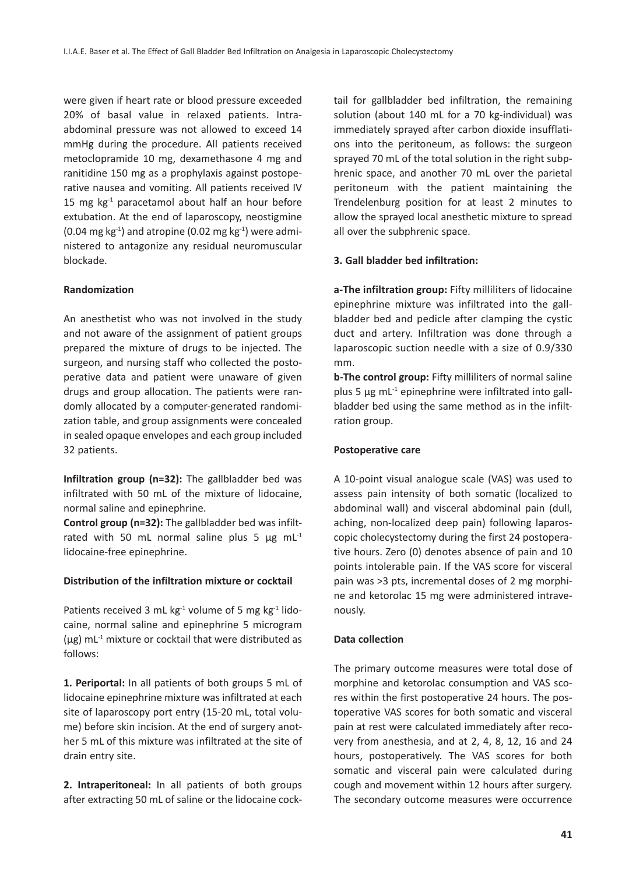were given if heart rate or blood pressure exceeded 20% of basal value in relaxed patients. Intraabdominal pressure was not allowed to exceed 14 mmHg during the procedure. All patients received metoclopramide 10 mg, dexamethasone 4 mg and ranitidine 150 mg as a prophylaxis against postoperative nausea and vomiting. All patients received IV 15 mg  $kg<sup>-1</sup>$  paracetamol about half an hour before extubation. At the end of laparoscopy, neostigmine  $(0.04 \text{ mg kg}^{-1})$  and atropine  $(0.02 \text{ mg kg}^{-1})$  were administered to antagonize any residual neuromuscular blockade.

## **Randomization**

An anesthetist who was not involved in the study and not aware of the assignment of patient groups prepared the mixture of drugs to be injected. The surgeon, and nursing staff who collected the postoperative data and patient were unaware of given drugs and group allocation. The patients were randomly allocated by a computer-generated randomization table, and group assignments were concealed in sealed opaque envelopes and each group included 32 patients.

**Infiltration group (n=32):** The gallbladder bed was infiltrated with 50 mL of the mixture of lidocaine, normal saline and epinephrine.

**Control group (n=32):** The gallbladder bed was infiltrated with 50 mL normal saline plus 5  $\mu$ g mL<sup>-1</sup> lidocaine-free epinephrine.

## **Distribution of the infiltration mixture or cocktail**

Patients received 3 mL kg $^{-1}$  volume of 5 mg kg $^{-1}$  lidocaine, normal saline and epinephrine 5 microgram  $(\mu g)$  mL<sup>-1</sup> mixture or cocktail that were distributed as follows:

**1. Periportal:** In all patients of both groups 5 mL of lidocaine epinephrine mixture was infiltrated at each site of laparoscopy port entry (15-20 mL, total volume) before skin incision. At the end of surgery another 5 mL of this mixture was infiltrated at the site of drain entry site.

**2. Intraperitoneal:** In all patients of both groups after extracting 50 mL of saline or the lidocaine cocktail for gallbladder bed infiltration, the remaining solution (about 140 mL for a 70 kg-individual) was immediately sprayed after carbon dioxide insufflations into the peritoneum, as follows: the surgeon sprayed 70 mL of the total solution in the right subphrenic space, and another 70 mL over the parietal peritoneum with the patient maintaining the Trendelenburg position for at least 2 minutes to allow the sprayed local anesthetic mixture to spread all over the subphrenic space.

# **3. Gall bladder bed infiltration:**

**a-The infiltration group:** Fifty milliliters of lidocaine epinephrine mixture was infiltrated into the gallbladder bed and pedicle after clamping the cystic duct and artery. Infiltration was done through a laparoscopic suction needle with a size of 0.9/330 mm.

**b-The control group:** Fifty milliliters of normal saline plus 5  $\mu$ g mL<sup>-1</sup> epinephrine were infiltrated into gallbladder bed using the same method as in the infiltration group.

# **Postoperative care**

A 10-point visual analogue scale (VAS) was used to assess pain intensity of both somatic (localized to abdominal wall) and visceral abdominal pain (dull, aching, non-localized deep pain) following laparoscopic cholecystectomy during the first 24 postoperative hours. Zero (0) denotes absence of pain and 10 points intolerable pain. If the VAS score for visceral pain was >3 pts, incremental doses of 2 mg morphine and ketorolac 15 mg were administered intravenously.

## **Data collection**

The primary outcome measures were total dose of morphine and ketorolac consumption and VAS scores within the first postoperative 24 hours. The postoperative VAS scores for both somatic and visceral pain at rest were calculated immediately after recovery from anesthesia, and at 2, 4, 8, 12, 16 and 24 hours, postoperatively. The VAS scores for both somatic and visceral pain were calculated during cough and movement within 12 hours after surgery. The secondary outcome measures were occurrence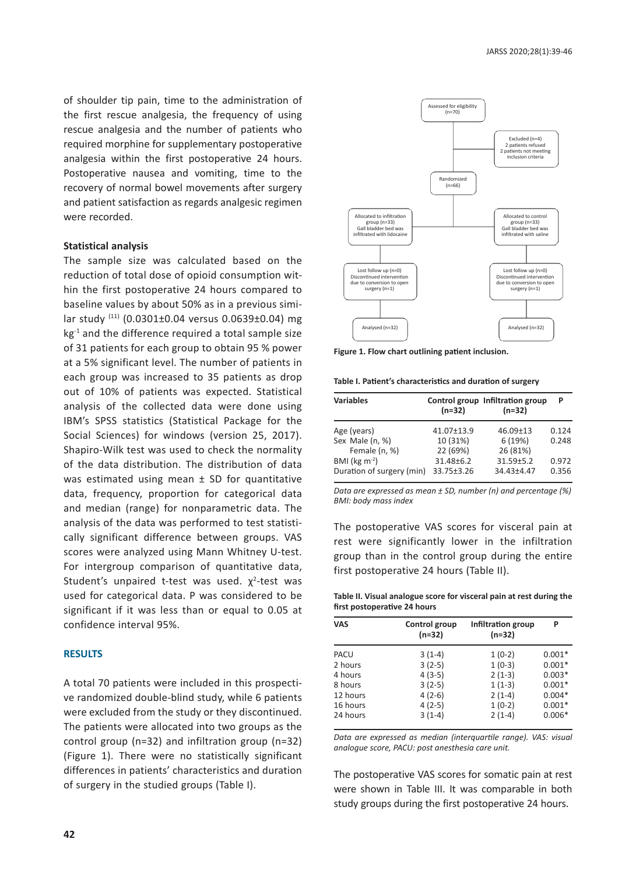of shoulder tip pain, time to the administration of the first rescue analgesia, the frequency of using rescue analgesia and the number of patients who required morphine for supplementary postoperative analgesia within the first postoperative 24 hours. Postoperative nausea and vomiting, time to the recovery of normal bowel movements after surgery and patient satisfaction as regards analgesic regimen were recorded.

### **Statistical analysis**

The sample size was calculated based on the reduction of total dose of opioid consumption within the first postoperative 24 hours compared to baseline values by about 50% as in a previous similar study (11) (0.0301±0.04 versus 0.0639±0.04) mg kg<sup>-1</sup> and the difference required a total sample size of 31 patients for each group to obtain 95 % power at a 5% significant level. The number of patients in each group was increased to 35 patients as drop out of 10% of patients was expected. Statistical analysis of the collected data were done using IBM's SPSS statistics (Statistical Package for the Social Sciences) for windows (version 25, 2017). Shapiro-Wilk test was used to check the normality of the data distribution. The distribution of data was estimated using mean  $\pm$  SD for quantitative data, frequency, proportion for categorical data and median (range) for nonparametric data. The analysis of the data was performed to test statistically significant difference between groups. VAS scores were analyzed using Mann Whitney U-test. For intergroup comparison of quantitative data, Student's unpaired t-test was used.  $\chi^2$ -test was used for categorical data. P was considered to be significant if it was less than or equal to 0.05 at confidence interval 95%.

#### **RESULTS**

A total 70 patients were included in this prospective randomized double-blind study, while 6 patients were excluded from the study or they discontinued. The patients were allocated into two groups as the control group (n=32) and infiltration group (n=32) (Figure 1). There were no statistically significant differences in patients' characteristics and duration of surgery in the studied groups (Table I).



**Figure 1. Flow chart outlining patient inclusion.**

**Table I. Patient's characteristics and duration of surgery** 

| <b>Variables</b>              | $(n=32)$   | Control group Infiltration group<br>$(n=32)$ | Р     |
|-------------------------------|------------|----------------------------------------------|-------|
| Age (years)                   | 41.07+13.9 | $46.09 \pm 13$                               | 0.124 |
| Sex Male (n, %)               | 10 (31%)   | 6 (19%)                                      | 0.248 |
| Female (n, %)                 | 22 (69%)   | 26 (81%)                                     |       |
| BMI ( $kg \, \text{m}^{-2}$ ) | 31.48±6.2  | $31.59 + 5.2$                                | 0.972 |
| Duration of surgery (min)     | 33.75±3.26 | 34.43±4.47                                   | 0.356 |

*Data are expressed as mean ± SD, number (n) and percentage (%) BMI: body mass index*

The postoperative VAS scores for visceral pain at rest were significantly lower in the infiltration group than in the control group during the entire first postoperative 24 hours (Table II).

**Table II. Visual analogue score for visceral pain at rest during the first postoperative 24 hours** 

| <b>VAS</b> | Control group<br>$(n=32)$ | Infiltration group<br>$(n=32)$ | P        |
|------------|---------------------------|--------------------------------|----------|
| PACU       | $3(1-4)$                  | $1(0-2)$                       | $0.001*$ |
| 2 hours    | $3(2-5)$                  | $1(0-3)$                       | $0.001*$ |
| 4 hours    | $4(3-5)$                  | $2(1-3)$                       | $0.003*$ |
| 8 hours    | $3(2-5)$                  | $1(1-3)$                       | $0.001*$ |
| 12 hours   | $4(2-6)$                  | $2(1-4)$                       | $0.004*$ |
| 16 hours   | $4(2-5)$                  | $1(0-2)$                       | $0.001*$ |
| 24 hours   | $3(1-4)$                  | $2(1-4)$                       | $0.006*$ |

*Data are expressed as median (interquartile range). VAS: visual analogue score, PACU: post anesthesia care unit.* 

The postoperative VAS scores for somatic pain at rest were shown in Table III. It was comparable in both study groups during the first postoperative 24 hours.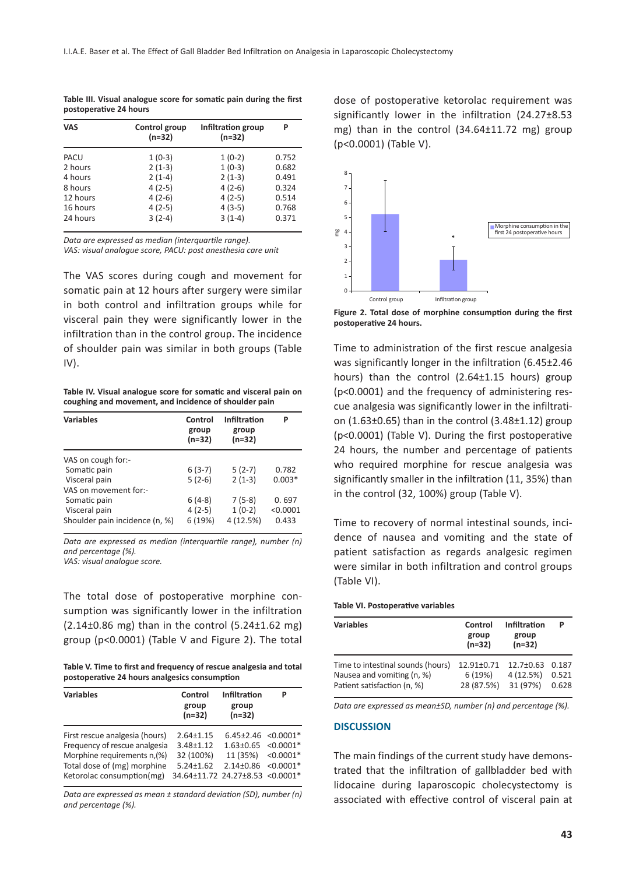| <b>VAS</b> | Control group<br>$(n=32)$ | Infiltration group<br>$(n=32)$ | P     |
|------------|---------------------------|--------------------------------|-------|
| PACU       | $1(0-3)$                  | $1(0-2)$                       | 0.752 |
| 2 hours    | $2(1-3)$                  | $1(0-3)$                       | 0.682 |
| 4 hours    | $2(1-4)$                  | $2(1-3)$                       | 0.491 |
| 8 hours    | $4(2-5)$                  | $4(2-6)$                       | 0.324 |
| 12 hours   | $4(2-6)$                  | $4(2-5)$                       | 0.514 |
| 16 hours   | $4(2-5)$                  | $4(3-5)$                       | 0.768 |
| 24 hours   | $3(2-4)$                  | $3(1-4)$                       | 0.371 |

**Table III. Visual analogue score for somatic pain during the first postoperative 24 hours** 

*Data are expressed as median (interquartile range). VAS: visual analogue score, PACU: post anesthesia care unit*

The VAS scores during cough and movement for somatic pain at 12 hours after surgery were similar in both control and infiltration groups while for visceral pain they were significantly lower in the infiltration than in the control group. The incidence of shoulder pain was similar in both groups (Table IV).

**Table IV. Visual analogue score for somatic and visceral pain on coughing and movement, and incidence of shoulder pain** 

| <b>Variables</b>               | Control<br>group<br>$(n=32)$ | <b>Infiltration</b><br>group<br>$(n=32)$ | Р        |
|--------------------------------|------------------------------|------------------------------------------|----------|
| VAS on cough for:-             |                              |                                          |          |
| Somatic pain                   | $6(3-7)$                     | $5(2-7)$                                 | 0.782    |
| Visceral pain                  | $5(2-6)$                     | $2(1-3)$                                 | $0.003*$ |
| VAS on movement for:-          |                              |                                          |          |
| Somatic pain                   | $6(4-8)$                     | $7(5-8)$                                 | 0.697    |
| Visceral pain                  | $4(2-5)$                     | $1(0-2)$                                 | < 0.0001 |
| Shoulder pain incidence (n, %) | 6 (19%)                      | 4 (12.5%)                                | 0.433    |

*Data are expressed as median (interquartile range), number (n) and percentage (%).*

*VAS: visual analogue score.* 

The total dose of postoperative morphine consumption was significantly lower in the infiltration  $(2.14\pm0.86 \text{ mg})$  than in the control  $(5.24\pm1.62 \text{ mg})$ group (p<0.0001) (Table V and Figure 2). The total

**Table V. Time to first and frequency of rescue analgesia and total postoperative 24 hours analgesics consumption** 

| <b>Variables</b>                                                                                                                                            | Control<br>group<br>$(n=32)$                                                                        | Infiltration<br>group<br>$(n=32)$                                                                    |  |
|-------------------------------------------------------------------------------------------------------------------------------------------------------------|-----------------------------------------------------------------------------------------------------|------------------------------------------------------------------------------------------------------|--|
| First rescue analgesia (hours)<br>Frequency of rescue analgesia<br>Morphine requirements n, (%)<br>Total dose of (mg) morphine<br>Ketorolac consumption(mg) | $2.64 \pm 1.15$<br>$3.48 + 1.12$<br>32 (100%)<br>$5.24 \pm 1.62$<br>34.64±11.72 24.27±8.53 <0.0001* | $6.45\pm2.46$ < 0.0001*<br>$1.63 \pm 0.65$ < 0.0001*<br>11 (35%) < 0.0001*<br>$2.14\pm0.86$ <0.0001* |  |

*Data are expressed as mean ± standard deviation (SD), number (n) and percentage (%).*

dose of postoperative ketorolac requirement was significantly lower in the infiltration (24.27±8.53 mg) than in the control (34.64±11.72 mg) group (p<0.0001) (Table V).



**Figure 2. Total dose of morphine consumption during the first postoperative 24 hours.** 

Time to administration of the first rescue analgesia was significantly longer in the infiltration (6.45±2.46 hours) than the control (2.64±1.15 hours) group (p<0.0001) and the frequency of administering rescue analgesia was significantly lower in the infiltration (1.63±0.65) than in the control (3.48±1.12) group (p<0.0001) (Table V). During the first postoperative 24 hours, the number and percentage of patients who required morphine for rescue analgesia was significantly smaller in the infiltration (11, 35%) than in the control (32, 100%) group (Table V).

Time to recovery of normal intestinal sounds, incidence of nausea and vomiting and the state of patient satisfaction as regards analgesic regimen were similar in both infiltration and control groups (Table VI).

**Table VI. Postoperative variables**

| <b>Variables</b>                  | Control<br>group<br>$(n=32)$ | <b>Infiltration</b><br>group<br>$(n=32)$ | P     |
|-----------------------------------|------------------------------|------------------------------------------|-------|
| Time to intestinal sounds (hours) | 12.91±0.71                   | $12.7 \pm 0.63$                          | 0.187 |
| Nausea and vomiting (n, %)        | 6(19%)                       | 4(12.5%)                                 | 0.521 |
| Patient satisfaction (n, %)       | 28 (87.5%)                   | 31 (97%)                                 | 0.628 |

*Data are expressed as mean±SD, number (n) and percentage (%).*

### **DISCUSSION**

The main findings of the current study have demonstrated that the infiltration of gallbladder bed with lidocaine during laparoscopic cholecystectomy is associated with effective control of visceral pain at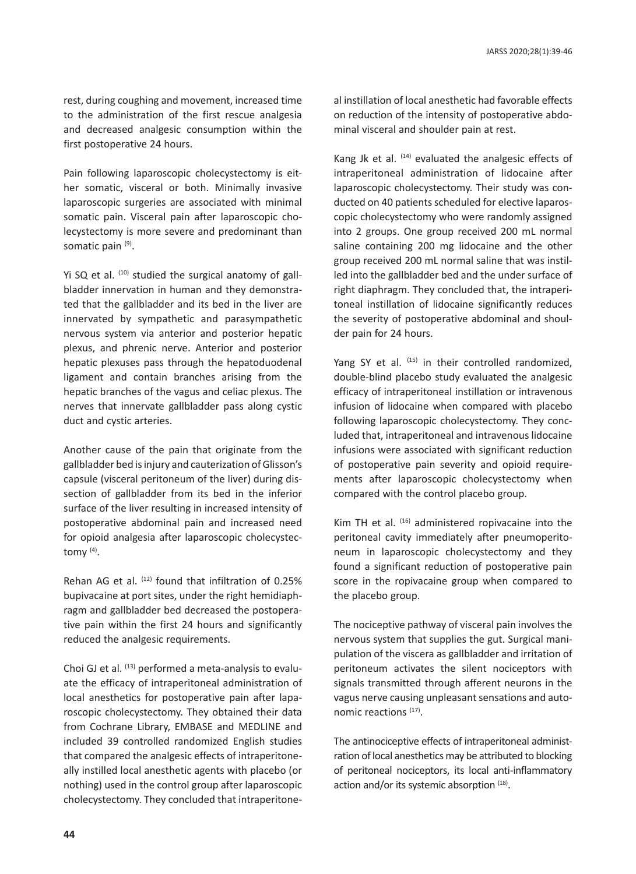rest, during coughing and movement, increased time to the administration of the first rescue analgesia and decreased analgesic consumption within the first postoperative 24 hours.

Pain following laparoscopic cholecystectomy is either somatic, visceral or both. Minimally invasive laparoscopic surgeries are associated with minimal somatic pain. Visceral pain after laparoscopic cholecystectomy is more severe and predominant than somatic pain (9).

Yi SQ et al.  $(10)$  studied the surgical anatomy of gallbladder innervation in human and they demonstrated that the gallbladder and its bed in the liver are innervated by sympathetic and parasympathetic nervous system via anterior and posterior hepatic plexus, and phrenic nerve. Anterior and posterior hepatic plexuses pass through the hepatoduodenal ligament and contain branches arising from the hepatic branches of the vagus and celiac plexus. The nerves that innervate gallbladder pass along cystic duct and cystic arteries.

Another cause of the pain that originate from the gallbladder bed is injury and cauterization of Glisson's capsule (visceral peritoneum of the liver) during dissection of gallbladder from its bed in the inferior surface of the liver resulting in increased intensity of postoperative abdominal pain and increased need for opioid analgesia after laparoscopic cholecystectomy (4).

Rehan AG et al. (12) found that infiltration of 0.25% bupivacaine at port sites, under the right hemidiaphragm and gallbladder bed decreased the postoperative pain within the first 24 hours and significantly reduced the analgesic requirements.

Choi GJ et al. (13) performed a meta-analysis to evaluate the efficacy of intraperitoneal administration of local anesthetics for postoperative pain after laparoscopic cholecystectomy. They obtained their data from Cochrane Library, EMBASE and MEDLINE and included 39 controlled randomized English studies that compared the analgesic effects of intraperitoneally instilled local anesthetic agents with placebo (or nothing) used in the control group after laparoscopic cholecystectomy. They concluded that intraperitoneal instillation of local anesthetic had favorable effects on reduction of the intensity of postoperative abdominal visceral and shoulder pain at rest.

Kang Jk et al. (14) evaluated the analgesic effects of intraperitoneal administration of lidocaine after laparoscopic cholecystectomy. Their study was conducted on 40 patients scheduled for elective laparoscopic cholecystectomy who were randomly assigned into 2 groups. One group received 200 mL normal saline containing 200 mg lidocaine and the other group received 200 mL normal saline that was instilled into the gallbladder bed and the under surface of right diaphragm. They concluded that, the intraperitoneal instillation of lidocaine significantly reduces the severity of postoperative abdominal and shoulder pain for 24 hours.

Yang SY et al. (15) in their controlled randomized, double-blind placebo study evaluated the analgesic efficacy of intraperitoneal instillation or intravenous infusion of lidocaine when compared with placebo following laparoscopic cholecystectomy. They concluded that, intraperitoneal and intravenous lidocaine infusions were associated with significant reduction of postoperative pain severity and opioid requirements after laparoscopic cholecystectomy when compared with the control placebo group.

Kim TH et al. (16) administered ropivacaine into the peritoneal cavity immediately after pneumoperitoneum in laparoscopic cholecystectomy and they found a significant reduction of postoperative pain score in the ropivacaine group when compared to the placebo group.

The nociceptive pathway of visceral pain involves the nervous system that supplies the gut. Surgical manipulation of the viscera as gallbladder and irritation of peritoneum activates the silent nociceptors with signals transmitted through afferent neurons in the vagus nerve causing unpleasant sensations and autonomic reactions (17).

The antinociceptive effects of intraperitoneal administration of local anesthetics may be attributed to blocking of peritoneal nociceptors, its local anti-inflammatory action and/or its systemic absorption (18).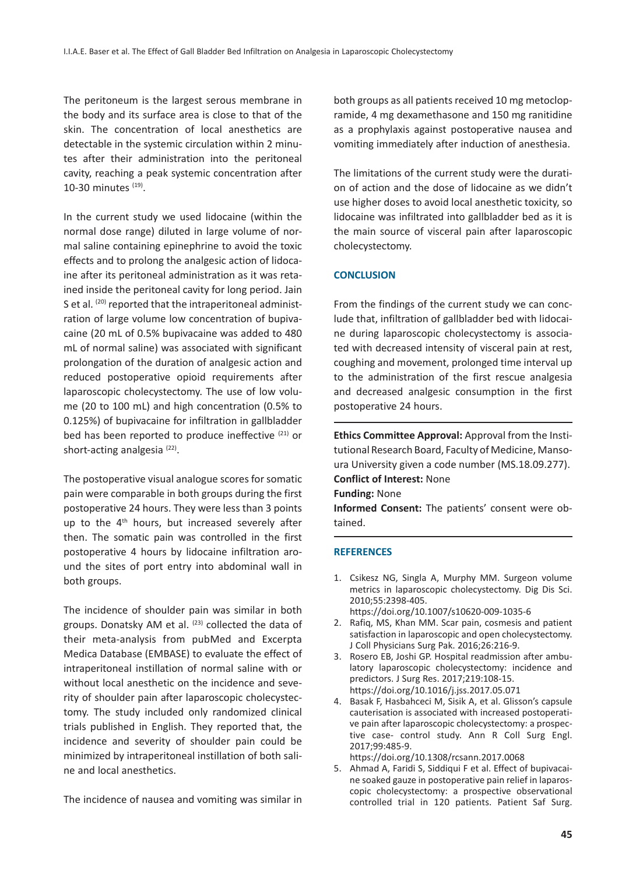The peritoneum is the largest serous membrane in the body and its surface area is close to that of the skin. The concentration of local anesthetics are detectable in the systemic circulation within 2 minutes after their administration into the peritoneal cavity, reaching a peak systemic concentration after 10-30 minutes (19).

In the current study we used lidocaine (within the normal dose range) diluted in large volume of normal saline containing epinephrine to avoid the toxic effects and to prolong the analgesic action of lidocaine after its peritoneal administration as it was retained inside the peritoneal cavity for long period. Jain S et al. (20) reported that the intraperitoneal administration of large volume low concentration of bupivacaine (20 mL of 0.5% bupivacaine was added to 480 mL of normal saline) was associated with significant prolongation of the duration of analgesic action and reduced postoperative opioid requirements after laparoscopic cholecystectomy. The use of low volume (20 to 100 mL) and high concentration (0.5% to 0.125%) of bupivacaine for infiltration in gallbladder bed has been reported to produce ineffective (21) or short-acting analgesia<sup>(22)</sup>.

The postoperative visual analogue scores for somatic pain were comparable in both groups during the first postoperative 24 hours. They were less than 3 points up to the 4<sup>th</sup> hours, but increased severely after then. The somatic pain was controlled in the first postoperative 4 hours by lidocaine infiltration around the sites of port entry into abdominal wall in both groups.

The incidence of shoulder pain was similar in both groups. Donatsky AM et al.  $(23)$  collected the data of their meta-analysis from pubMed and Excerpta Medica Database (EMBASE) to evaluate the effect of intraperitoneal instillation of normal saline with or without local anesthetic on the incidence and severity of shoulder pain after laparoscopic cholecystectomy. The study included only randomized clinical trials published in English. They reported that, the incidence and severity of shoulder pain could be minimized by intraperitoneal instillation of both saline and local anesthetics.

The incidence of nausea and vomiting was similar in

both groups as all patients received 10 mg metoclopramide, 4 mg dexamethasone and 150 mg ranitidine as a prophylaxis against postoperative nausea and vomiting immediately after induction of anesthesia.

The limitations of the current study were the duration of action and the dose of lidocaine as we didn't use higher doses to avoid local anesthetic toxicity, so lidocaine was infiltrated into gallbladder bed as it is the main source of visceral pain after laparoscopic cholecystectomy.

### **CONCLUSION**

From the findings of the current study we can conclude that, infiltration of gallbladder bed with lidocaine during laparoscopic cholecystectomy is associated with decreased intensity of visceral pain at rest, coughing and movement, prolonged time interval up to the administration of the first rescue analgesia and decreased analgesic consumption in the first postoperative 24 hours.

**Ethics Committee Approval:** Approval from the Institutional Research Board, Faculty of Medicine, Mansoura University given a code number (MS.18.09.277). **Conflict of Interest:** None **Funding:** None

**Informed Consent:** The patients' consent were obtained.

### **REFERENCES**

- 1. Csikesz NG, Singla A, Murphy MM. Surgeon volume metrics in laparoscopic cholecystectomy. Dig Dis Sci. 2010;55:2398-405. https://doi.org/10.1007/s10620-009-1035-6
- 2. Rafiq, MS, Khan MM. Scar pain, cosmesis and patient satisfaction in laparoscopic and open cholecystectomy. J Coll Physicians Surg Pak. 2016;26:216-9.
- 3. Rosero EB, Joshi GP. Hospital readmission after ambulatory laparoscopic cholecystectomy: incidence and predictors. J Surg Res. 2017;219:108-15. https://doi.org/10.1016/j.jss.2017.05.071
- 4. Basak F, Hasbahceci M, Sisik A, et al. Glisson's capsule cauterisation is associated with increased postoperative pain after laparoscopic cholecystectomy: a prospective case- control study. Ann R Coll Surg Engl. 2017;99:485-9.

https://doi.org/10.1308/rcsann.2017.0068

5. Ahmad A, Faridi S, Siddiqui F et al. Effect of bupivacaine soaked gauze in postoperative pain relief in laparoscopic cholecystectomy: a prospective observational controlled trial in 120 patients. Patient Saf Surg.